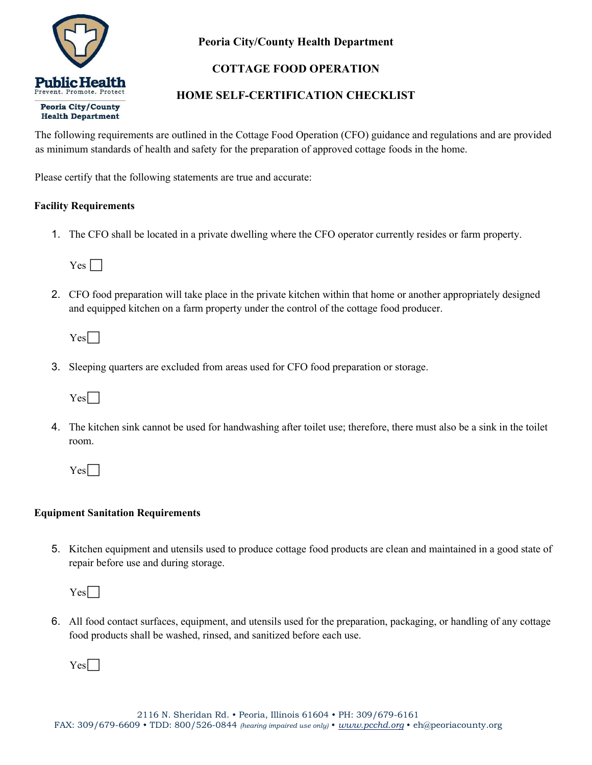

## Peoria City/County Health Department

# COTTAGE FOOD OPERATION

# HOME SELF-CERTIFICATION CHECKLIST

The following requirements are outlined in the Cottage Food Operation (CFO) guidance and regulations and are provided as minimum standards of health and safety for the preparation of approved cottage foods in the home.

Please certify that the following statements are true and accurate:

### Facility Requirements

1. The CFO shall be located in a private dwelling where the CFO operator currently resides or farm property.

 $Yes \Box$ 

2. CFO food preparation will take place in the private kitchen within that home or another appropriately designed and equipped kitchen on a farm property under the control of the cottage food producer.

 $Yes\Box$ 

3. Sleeping quarters are excluded from areas used for CFO food preparation or storage.

 $Yes\Box$ 

4. The kitchen sink cannot be used for handwashing after toilet use; therefore, there must also be a sink in the toilet room.

 $Yes$ 

## Equipment Sanitation Requirements

5. Kitchen equipment and utensils used to produce cottage food products are clean and maintained in a good state of repair before use and during storage.

 $Yes$ 

6. All food contact surfaces, equipment, and utensils used for the preparation, packaging, or handling of any cottage food products shall be washed, rinsed, and sanitized before each use.

 $Yes$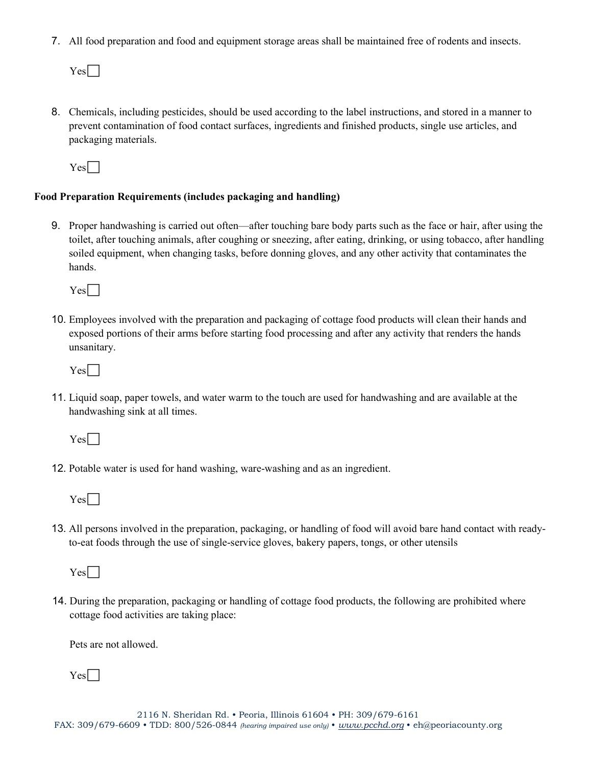7. All food preparation and food and equipment storage areas shall be maintained free of rodents and insects.

 $Yes$ 

8. Chemicals, including pesticides, should be used according to the label instructions, and stored in a manner to prevent contamination of food contact surfaces, ingredients and finished products, single use articles, and packaging materials.

 $Yes\Box$ 

### Food Preparation Requirements (includes packaging and handling)

9. Proper handwashing is carried out often—after touching bare body parts such as the face or hair, after using the toilet, after touching animals, after coughing or sneezing, after eating, drinking, or using tobacco, after handling soiled equipment, when changing tasks, before donning gloves, and any other activity that contaminates the hands.

 $Yes$ 

10. Employees involved with the preparation and packaging of cottage food products will clean their hands and exposed portions of their arms before starting food processing and after any activity that renders the hands unsanitary.

Yes<sup>[1]</sup>

11. Liquid soap, paper towels, and water warm to the touch are used for handwashing and are available at the handwashing sink at all times.

 $Yes\Box$ 

12. Potable water is used for hand washing, ware-washing and as an ingredient.

 $Yes$ 

13. All persons involved in the preparation, packaging, or handling of food will avoid bare hand contact with readyto-eat foods through the use of single-service gloves, bakery papers, tongs, or other utensils

 $Yes$ 

14. During the preparation, packaging or handling of cottage food products, the following are prohibited where cottage food activities are taking place:

Pets are not allowed.

Yes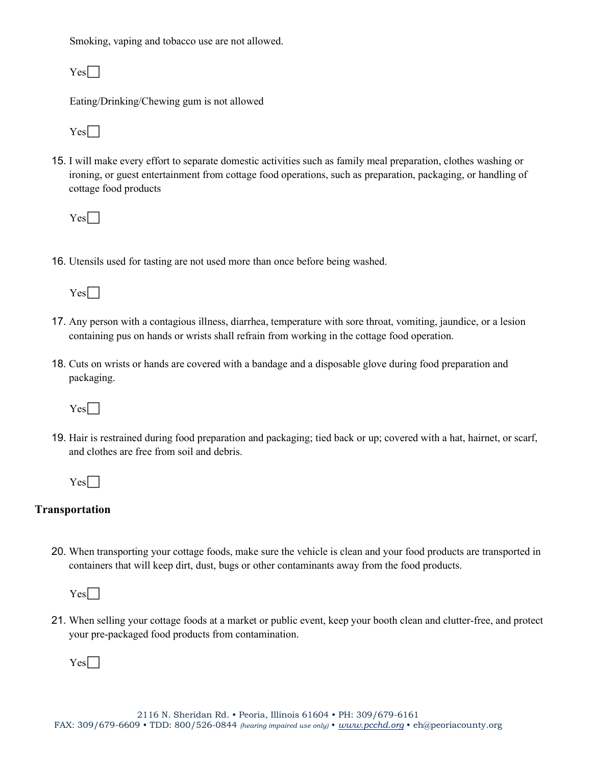Smoking, vaping and tobacco use are not allowed.

 $Yes$ 

Eating/Drinking/Chewing gum is not allowed

 $Yes$ 

15. I will make every effort to separate domestic activities such as family meal preparation, clothes washing or ironing, or guest entertainment from cottage food operations, such as preparation, packaging, or handling of cottage food products

 $Yes$ 

16. Utensils used for tasting are not used more than once before being washed.

 $Yes$ 

- 17. Any person with a contagious illness, diarrhea, temperature with sore throat, vomiting, jaundice, or a lesion containing pus on hands or wrists shall refrain from working in the cottage food operation.
- 18. Cuts on wrists or hands are covered with a bandage and a disposable glove during food preparation and packaging.

 $Yes$ 

19. Hair is restrained during food preparation and packaging; tied back or up; covered with a hat, hairnet, or scarf, and clothes are free from soil and debris.

 $Yes\Box$ 

## Transportation

20. When transporting your cottage foods, make sure the vehicle is clean and your food products are transported in containers that will keep dirt, dust, bugs or other contaminants away from the food products.

 $Yes$ 

21. When selling your cottage foods at a market or public event, keep your booth clean and clutter-free, and protect your pre-packaged food products from contamination.

 $Yes$